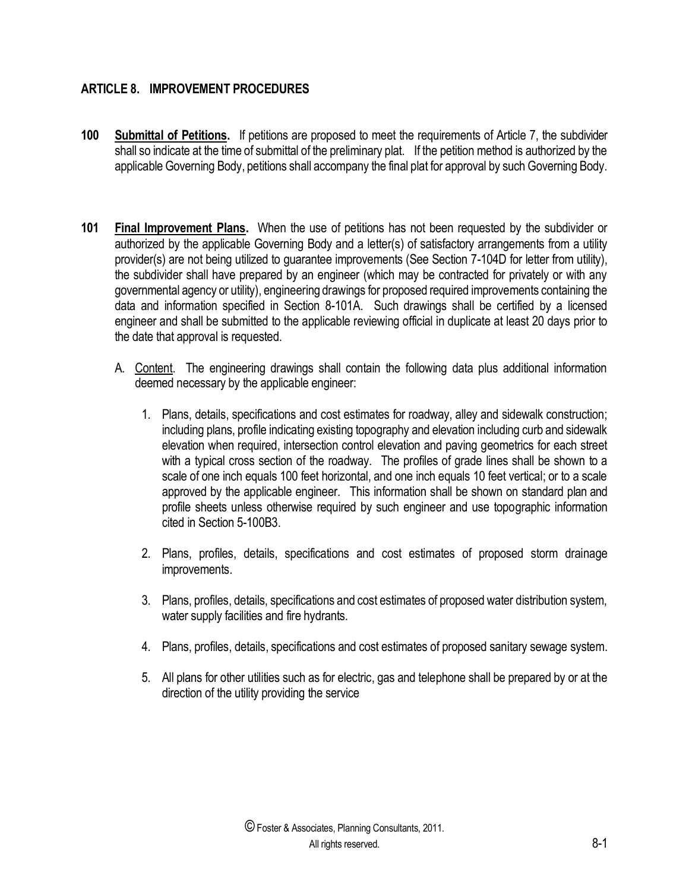## **ARTICLE 8. IMPROVEMENT PROCEDURES**

- **100 Submittal of Petitions.** If petitions are proposed to meet the requirements of Article 7, the subdivider shall so indicate at the time of submittal of the preliminary plat. If the petition method is authorized by the applicable Governing Body, petitions shall accompany the final plat for approval by such Governing Body.
- **101 Final Improvement Plans.** When the use of petitions has not been requested by the subdivider or authorized by the applicable Governing Body and a letter(s) of satisfactory arrangements from a utility provider(s) are not being utilized to guarantee improvements (See Section 7-104D for letter from utility), the subdivider shall have prepared by an engineer (which may be contracted for privately or with any governmental agency or utility), engineering drawings for proposed required improvements containing the data and information specified in Section 8-101A. Such drawings shall be certified by a licensed engineer and shall be submitted to the applicable reviewing official in duplicate at least 20 days prior to the date that approval is requested.
	- A. Content. The engineering drawings shall contain the following data plus additional information deemed necessary by the applicable engineer:
		- 1. Plans, details, specifications and cost estimates for roadway, alley and sidewalk construction; including plans, profile indicating existing topography and elevation including curb and sidewalk elevation when required, intersection control elevation and paving geometrics for each street with a typical cross section of the roadway. The profiles of grade lines shall be shown to a scale of one inch equals 100 feet horizontal, and one inch equals 10 feet vertical; or to a scale approved by the applicable engineer. This information shall be shown on standard plan and profile sheets unless otherwise required by such engineer and use topographic information cited in Section 5-100B3.
		- 2. Plans, profiles, details, specifications and cost estimates of proposed storm drainage improvements.
		- 3. Plans, profiles, details, specifications and cost estimates of proposed water distribution system, water supply facilities and fire hydrants.
		- 4. Plans, profiles, details, specifications and cost estimates of proposed sanitary sewage system.
		- 5. All plans for other utilities such as for electric, gas and telephone shall be prepared by or at the direction of the utility providing the service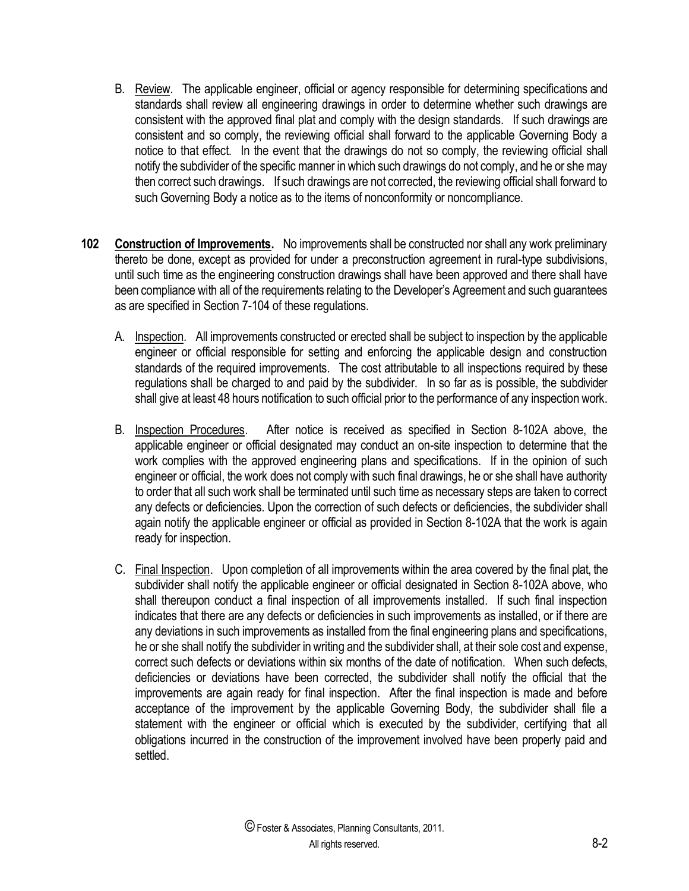- B. Review. The applicable engineer, official or agency responsible for determining specifications and standards shall review all engineering drawings in order to determine whether such drawings are consistent with the approved final plat and comply with the design standards. If such drawings are consistent and so comply, the reviewing official shall forward to the applicable Governing Body a notice to that effect. In the event that the drawings do not so comply, the reviewing official shall notify the subdivider of the specific manner in which such drawings do not comply, and he or she may then correct such drawings. If such drawings are not corrected, the reviewing official shall forward to such Governing Body a notice as to the items of nonconformity or noncompliance.
- **102 Construction of Improvements.** No improvements shall be constructed nor shall any work preliminary thereto be done, except as provided for under a preconstruction agreement in rural-type subdivisions, until such time as the engineering construction drawings shall have been approved and there shall have been compliance with all of the requirements relating to the Developer's Agreement and such guarantees as are specified in Section 7-104 of these regulations.
	- A. Inspection. All improvements constructed or erected shall be subject to inspection by the applicable engineer or official responsible for setting and enforcing the applicable design and construction standards of the required improvements. The cost attributable to all inspections required by these regulations shall be charged to and paid by the subdivider. In so far as is possible, the subdivider shall give at least 48 hours notification to such official prior to the performance of any inspection work.
	- B. Inspection Procedures. After notice is received as specified in Section 8-102A above, the applicable engineer or official designated may conduct an on-site inspection to determine that the work complies with the approved engineering plans and specifications. If in the opinion of such engineer or official, the work does not comply with such final drawings, he or she shall have authority to order that all such work shall be terminated until such time as necessary steps are taken to correct any defects or deficiencies. Upon the correction of such defects or deficiencies, the subdivider shall again notify the applicable engineer or official as provided in Section 8-102A that the work is again ready for inspection.
	- C. Final Inspection. Upon completion of all improvements within the area covered by the final plat, the subdivider shall notify the applicable engineer or official designated in Section 8-102A above, who shall thereupon conduct a final inspection of all improvements installed. If such final inspection indicates that there are any defects or deficiencies in such improvements as installed, or if there are any deviations in such improvements as installed from the final engineering plans and specifications, he or she shall notify the subdivider in writing and the subdivider shall, at their sole cost and expense, correct such defects or deviations within six months of the date of notification. When such defects, deficiencies or deviations have been corrected, the subdivider shall notify the official that the improvements are again ready for final inspection. After the final inspection is made and before acceptance of the improvement by the applicable Governing Body, the subdivider shall file a statement with the engineer or official which is executed by the subdivider, certifying that all obligations incurred in the construction of the improvement involved have been properly paid and settled.